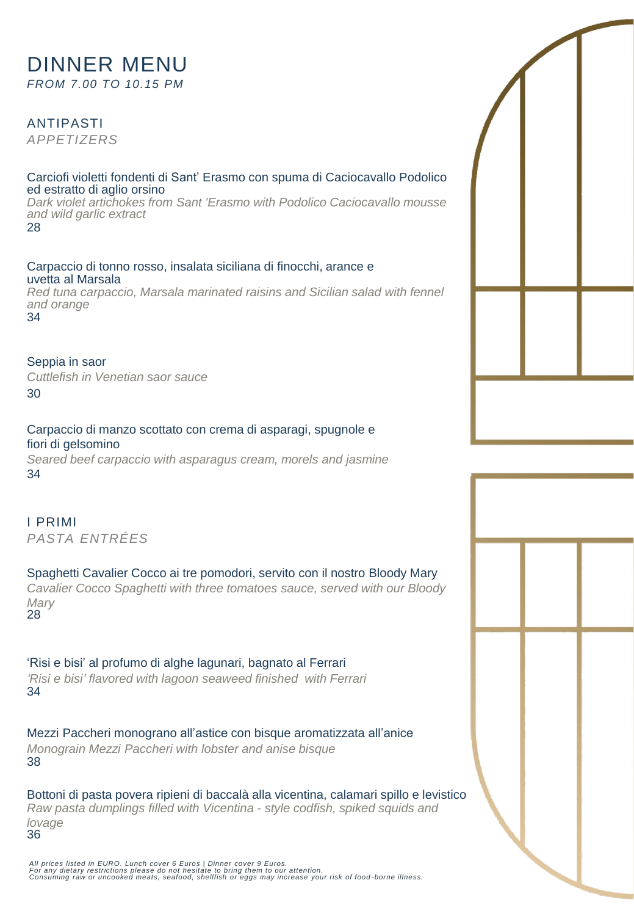# DINNER MENU *FROM 7.00 TO 10.15 PM*

ANTIPASTI *APPETIZERS*

34

#### Carciofi violetti fondenti di Sant' Erasmo con spuma di Caciocavallo Podolico ed estratto di aglio orsino

*Dark violet artichokes from Sant 'Erasmo with Podolico Caciocavallo mousse and wild garlic extract* 28

Carpaccio di tonno rosso, insalata siciliana di finocchi, arance e uvetta al Marsala *Red tuna carpaccio, Marsala marinated raisins and Sicilian salad with fennel and orange* 

Seppia in saor *Cuttlefish in Venetian saor sauce* 30

fiori di gelsomino *Seared beef carpaccio with asparagus cream, morels and jasmine* 34

Carpaccio di manzo scottato con crema di asparagi, spugnole e

I PRIMI *PASTA ENTRÉES*

Spaghetti Cavalier Cocco ai tre pomodori, servito con il nostro Bloody Mary *Cavalier Cocco Spaghetti with three tomatoes sauce, served with our Bloody Mary* 28

'Risi e bisi' al profumo di alghe lagunari, bagnato al Ferrari *'Risi e bisi' flavored with lagoon seaweed finished with Ferrari*  34

Mezzi Paccheri monograno all'astice con bisque aromatizzata all'anice *Monograin Mezzi Paccheri with lobster and anise bisque*  38

Bottoni di pasta povera ripieni di baccalà alla vicentina, calamari spillo e levistico *Raw pasta dumplings filled with Vicentina - style codfish, spiked squids and lovage* 36

All prices listed in EURO. Lunch cover 6 Euros | Dinner cover 9 Euros.<br>For any dietary restrictions please do not hesitate to bring them to our attention.<br>Consuming raw or uncooked meats, seafood, shellfish or eggs may inc